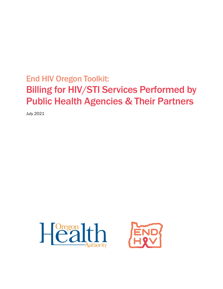# End HIV Oregon Toolkit: Billing for HIV/STI Services Performed by Public Health Agencies & Their Partners

July 2021



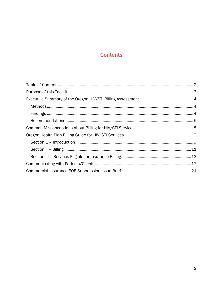# **Contents**

<span id="page-1-0"></span>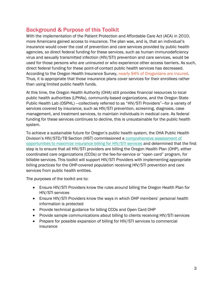# <span id="page-2-0"></span>Background & Purpose of this Toolkit

With the implementation of the Patient Protection and Affordable Care Act (ACA) in 2010, more Americans gained access to insurance. The plan was, and is, that an individual's insurance would cover the cost of prevention and care services provided by public health agencies, so direct federal funding for these services, such as human immunodeficiency virus and sexually transmitted infection (HIV/STI) prevention and care services, would be used for those persons who are uninsured or who experience other access barriers. As such, direct federal funding for these point-of-contact public health services has decreased. According to the Oregon Health Insurance Survey, nearly 94% of Oregonians are insured. Thus, it is appropriate that those insurance plans cover services for their enrollees rather than using limited public health funds.

At this time, the Oregon Health Authority (OHA) still provides financial resources to local public health authorities (LPHAs), community-based organizations, and the Oregon State Public Health Lab (OSPHL) —collectively referred to as "HIV/STI Providers"—for a variety of services covered by insurance, such as HIV/STI prevention, screening, diagnosis, case management, and treatment services, to maintain individuals in medical care. As federal funding for these services continues to decline, this is unsustainable for the public health system.

To achieve a sustainable future for Oregon's public health system, the OHA Public Health Division's HIV/STD/TB Section (HST) commissioned a [comprehensive assessment of](https://www.oregon.gov/oha/PH/DISEASESCONDITIONS/HIVSTDVIRALHEPATITIS/SEXUALLYTRANSMITTEDDISEASE/Documents/Public_Health_HIV_STI_Billing_Assessment.pdf)  [opportunities to maximize insurance billing for HIV/STI services](https://www.oregon.gov/oha/PH/DISEASESCONDITIONS/HIVSTDVIRALHEPATITIS/SEXUALLYTRANSMITTEDDISEASE/Documents/Public_Health_HIV_STI_Billing_Assessment.pdf) and determined that the first step is to ensure that all HIV/STI providers are billing the Oregon Health Plan (OHP), either coordinated care organizations (CCOs) or the fee-for-service or "open card" program, for billable services. This toolkit will support HIV/STI Providers with implementing appropriate billing practices for the OHP-covered population receiving HIV/STI prevention and care services from public health entities.

The purposes of the toolkit are to:

- Ensure HIV/STI Providers know the rules around billing the Oregon Health Plan for HIV/STI services
- Ensure HIV/STI Providers know the ways in which OHP members' personal health information is protected
- Provide technical guidance for billing CCOs and Open Card OHP
- Provide sample communications about billing to clients receiving HIV/STI services
- Prepare for possible expansion of billing for HIV/STI services to commercial insurance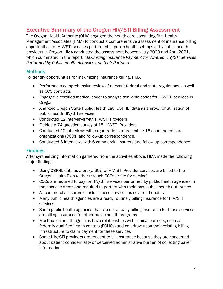# <span id="page-3-0"></span>Executive Summary of the Oregon HIV/STI Billing Assessment

The Oregon Health Authority (OHA) engaged the health care consulting firm Health Management Associates (HMA) to conduct a comprehensive assessment of insurance billing opportunities for HIV/STI services performed in public health settings or by public health providers in Oregon. HMA conducted the assessment between July 2020 and April 2021, which culminated in the report: *Maximizing Insurance Payment for Covered HIV/STI Services Performed by Public Health Agencies and their Partners*.

# <span id="page-3-1"></span>**Methods**

To identify opportunities for maximizing insurance billing, HMA:

- Performed a comprehensive review of relevant federal and state regulations, as well as CCO contracts
- Engaged a certified medical coder to analyze available codes for HIV/STI services in Oregon
- Analyzed Oregon State Public Health Lab (OSPHL) data as a proxy for utilization of public health HIV/STI services
- Conducted 12 interviews with HIV/STI Providers
- Fielded a 74-question survey of 15 HIV/STI Providers
- Conducted 12 interviews with organizations representing 16 coordinated care organizations (CCOs) and follow-up correspondence.
- Conducted 6 interviews with 6 commercial insurers and follow-up correspondence.

# <span id="page-3-2"></span>**Findings**

After synthesizing information gathered from the activities above, HMA made the following major findings:

- Using OSPHL data as a proxy, 60% of HIV/STI Provider services are billed to the Oregon Health Plan (either through CCOs or fee-for-service)
- CCOs are required to pay for HIV/STI services performed by public health agencies in their service areas and required to partner with their local public health authorities
- All commercial insurers consider these services as covered benefits
- Many public health agencies are already routinely billing insurance for HIV/STI services
- Some public health agencies that are not already billing insurance for these services are billing insurance for other public health programs
- Most public health agencies have relationships with clinical partners, such as federally qualified health centers (FQHCs) and can draw upon their existing billing infrastructure to claim payment for these services
- Some HIV/STI providers are reticent to bill insurance because they are concerned about patient confidentiality or perceived administrative burden of collecting payer information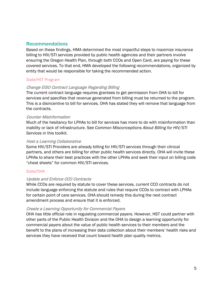# <span id="page-4-0"></span>Recommendations

Based on these findings, HMA determined the most impactful steps to maximize insurance billing to HIV/STI services provided by public health agencies and their partners involve ensuring the Oregon Health Plan, through both CCOs and Open Card, are paying for these covered services. To that end, HMA developed the following recommendations, organized by entity that would be responsible for taking the recommended action.

#### State/HST Program

#### Change EISO Contract Language Regarding Billing

The current contract language requires grantees to get permission from OHA to bill for services and specifies that revenue generated from billing must be returned to the program. This is a disincentive to bill for services. OHA has stated they will remove that language from the contracts.

#### Counter Misinformation

Much of the hesitancy for LPHAs to bill for services has more to do with misinformation than inability or lack of infrastructure. See *Common Misconceptions About Billing for HIV/STI Services* in this toolkit.

#### Host a Learning Collaborative

Some HIV/STI Providers are already billing for HIV/STI services through their clinical partners, and others are billing for other public health services directly. OHA will invite these LPHAs to share their best practices with the other LPHAs and seek their input on billing code "cheat sheets" for common HIV/STI services.

#### State/OHA

#### Update and Enforce CCO Contracts

While CCOs are required by statute to cover these services, current CCO contracts do not include language enforcing the statute and rules that require CCOs to contract with LPHAs for certain point of care services. OHA should remedy this during the next contract amendment process and ensure that it is enforced.

#### Create a Learning Opportunity for Commercial Payers

OHA has little official role in regulating commercial payers. However, HST could partner with other parts of the Public Health Division and the OHA to design a learning opportunity for commercial payers about the value of public health services to their members and the benefit to the plans of increasing their data collection about their members' health risks and services they have received that count toward health plan quality metrics.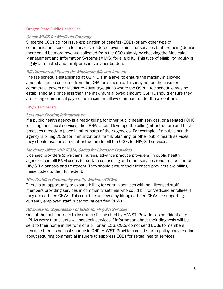#### Oregon State Public Health Lab

#### Check MMIS for Medicaid Coverage

Since the CCOs do not issue explanation of benefits (EOBs) or any other type of communication specific to services rendered, even claims for services that are being denied, there could be more revenue collected from the CCOs simply by checking the Medicaid Management and Information Systems (MMIS) for eligibility. This type of eligibility inquiry is highly automated and rarely presents a labor burden.

#### Bill Commercial Payers the Maximum Allowed Amount

The fee schedule established at OSPHL is at a level to ensure the maximum allowed amounts can be collected from the OHA fee schedule. This may not be the case for commercial payers or Medicare Advantage plans where the OSPHL fee schedule may be established at a price less than the maximum allowed amount. OSPHL should ensure they are billing commercial payers the maximum allowed amount under those contracts.

#### HIV/STI Providers

#### Leverage Existing Infrastructure

If a public health agency is already billing for other public health services, or a related FQHC is billing for clinical services, the LPHAs should leverage the billing infrastructure and best practices already in place in other parts of their agencies. For example, if a public health agency is billing CCOs for immunizations, family planning, or other public health services, they should use the same infrastructure to bill the CCOs for HIV/STI services.

#### Maximize Office Visit (E&M) Codes for Licensed Providers

Licensed providers (physicians, nurses, advance practice providers) in public health agencies can bill E&M codes for certain counseling and other services rendered as part of HIV/STI diagnosis and treatment. They should ensure their licensed providers are billing these codes to their full extent.

#### Hire Certified Community Health Workers (CHWs)

There is an opportunity to expand billing for certain services with non-licensed staff members providing services in community settings who could bill for Medicaid enrollees if they are certified CHWs. This could be achieved by hiring certified CHWs or supporting currently employed staff in becoming certified CHWs.

#### Advocate for Suppression of EOBs for HIV/STI Services

One of the main barriers to insurance billing cited by HIV/STI Providers is confidentiality. LPHAs worry that clients will not seek services if information about their diagnosis will be sent to their home in the form of a bill or an EOB. CCOs do not send EOBs to members because there is no cost sharing in OHP. HIV/STI Providers could start a policy conversation about requiring commercial insurers to suppress EOBs for sexual health services.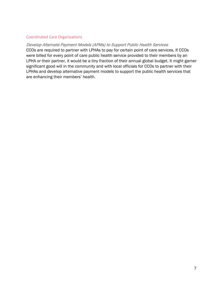#### Coordinated Care Organizations

<span id="page-6-0"></span>Develop Alternate Payment Models (APMs) to Support Public Health Services CCOs are required to partner with LPHAs to pay for certain point of care services. If CCOs were billed for every point of care public health service provided to their members by an LPHA or their partner, it would be a tiny fraction of their annual global budget. It might garner significant good will in the community and with local officials for CCOs to partner with their LPHAs and develop alternative payment models to support the public health services that are enhancing their members' health.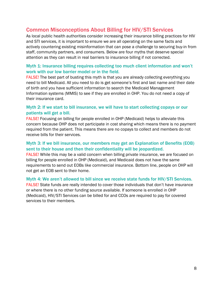# Common Misconceptions About Billing for HIV/STI Services

As local public health authorities consider increasing their insurance billing practices for HIV and STI services, it is important to ensure we are all operating on the same facts and actively countering existing misinformation that can pose a challenge to securing buy-in from staff, community partners, and consumers. Below are four myths that deserve special attention as they can result in real barriers to insurance billing if not corrected.

## Myth 1: Insurance billing requires collecting too much client information and won't work with our low barrier model or in the field.

FALSE! The best part of busting this myth is that you are already collecting everything you need to bill Medicaid. All you need to do is get someone's first and last name and their date of birth and you have sufficient information to search the Medicaid Management Information systems (MMIS) to see if they are enrolled in OHP. You do not need a copy of their insurance card.

## Myth 2: If we start to bill insurance, we will have to start collecting copays or our patients will get a bill.

FALSE! Focusing on billing for people enrolled in OHP (Medicaid) helps to alleviate this concern because OHP does not participate in cost sharing which means there is no payment required from the patient. This means there are no copays to collect and members do not receive bills for their services.

# Myth 3: If we bill insurance, our members may get an Explanation of Benefits (EOB) sent to their house and then their confidentiality will be jeopardized.

FALSE! While this may be a valid concern when billing private insurance, we are focused on billing for people enrolled in OHP (Medicaid), and Medicaid does not have the same requirements to send out EOBs like commercial insurance. Bottom line, people on OHP will not get an EOB sent to their home.

#### Myth 4: We aren't allowed to bill since we receive state funds for HIV/STI Services. FALSE! State funds are really intended to cover those individuals that don't have insurance or where there is no other funding source available. If someone is enrolled in OHP

(Medicaid), HIV/STI Services can be billed for and CCOs are required to pay for covered services to their members.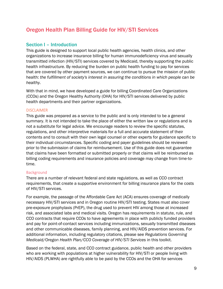# <span id="page-8-0"></span>Oregon Health Plan Billing Guide for HIV/STI Services

# <span id="page-8-1"></span>Section I – Introduction

This guide is designed to support local public health agencies, health clinics, and other organizations to increase insurance billing for human immunodeficiency virus and sexually transmitted infection (HIV/STI) services covered by Medicaid, thereby supporting the public health infrastructure. By reducing the burden on public health funding to pay for services that are covered by other payment sources, we can continue to pursue the mission of public health: *the fulfillment of society's interest in assuring the conditions in which people can be healthy.*

With that in mind, we have developed a guide for billing Coordinated Care Organizations (CCOs) and the Oregon Healthy Authority (OHA) for HIV/STI services delivered by public health departments and their partner organizations.

#### **DISCLAIMER**

This guide was prepared as a service to the public and is only intended to be a general summary. It is not intended to take the place of either the written law or regulations and is not a substitute for legal advice. We encourage readers to review the specific statutes, regulations, and other interpretive materials for a full and accurate statement of their contents and to consult with their own legal counsel or other experts for guidance specific to their individual circumstances. Specific coding and payer guidelines should be reviewed prior to the submission of claims for reimbursement. Use of this guide does not guarantee that claims have been formatted or submitted properly or that claims will be reimbursed as billing coding requirements and insurance policies and coverage may change from time-totime.

#### Background

There are a number of relevant federal and state regulations, as well as CCO contract requirements, that create a supportive environment for billing insurance plans for the costs of HIV/STI services.

For example, the passage of the Affordable Care Act (ACA) ensures coverage of medically necessary HIV/STI services and in Oregon routine HIV/STI testing. States must also cover pre-exposure prophylaxis (PrEP), the drug used to prevent HIV among those at increased risk, and associated labs and medical visits. Oregon has requirements in statute, rule, and CCO contracts that require CCOs to have agreements in place with publicly funded providers and pay for point-of-contact services including immunizations, sexually transmitted diseases and other communicable diseases, family planning, and HIV/AIDS prevention services. For additional information, including regulatory citations, please see *Regulations Governing Medicaid/Oregon Health Plan/CCO Coverage of HIV/STI Services* in this toolkit.

Based on the federal, state, and CCO contract guidance, public health and other providers who are working with populations at higher vulnerability for HIV/STI or people living with HIV/AIDS (PLWHA) are rightfully able to be paid by the CCOs and the OHA for services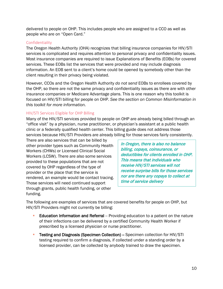delivered to people on OHP. This includes people who are assigned to a CCO as well as people who are on "Open Card."

#### Confidentiality

The Oregon Health Authority (OHA) recognizes that billing insurance companies for HIV/STI services is complicated and requires attention to personal privacy and confidentiality issues. Most insurance companies are required to issue Explanations of Benefits (EOBs) for covered services. These EOBs list the services that were provided and may include diagnosis information. An EOB sent to a client's home could be opened by somebody other than the client resulting in their privacy being violated.

However, CCOs and the Oregon Health Authority *do not send* EOBs to enrollees covered by the OHP, so there are not the same privacy and confidentiality issues as there are with other insurance companies or Medicare Advantage plans. This is one reason why this toolkit is focused on HIV/STI billing for people on OHP. *See the section on Common Misinformation in this toolkit for more information.* 

## HIV/STI Services Eligible for OHP Billing

Many of the HIV/STI services provided to people on OHP are already being billed through an "office visit" by a physician, nurse practitioner, or physician's assistant at a public health clinic or a federally qualified health center. This billing guide does not address those services because HIV/STI Providers are already billing for those services fairly consistently.

There are also services that can be billed by other provider types such as Community Health Workers (CHWs) or Licensed Clinical Social Workers (LCSW). There are also some services provided to these populations that are not covered by OHP regardless of the type of provider or the place that the service is rendered, an example would be contact tracing. Those services will need continued support through grants, public health funding, or other funding.

In Oregon, there is also no balance billing, copays, coinsurance, or deductibles for clients enrolled in OHP. This means that individuals who receive HIV/STI services will not receive surprise bills for those services nor are there any copays to collect at time of service delivery

The following are examples of services that are covered benefits for people on OHP, but HIV/STI Providers might not currently be billing:

- **Education Information and Referral** -- Providing education to a patient on the nature of their infections can be delivered by a certified Community Health Worker if prescribed by a licensed physician or nurse practitioner.
- Testing and Diagnosis (Specimen Collection) Specimen collection for HIV/STI testing required to confirm a diagnosis, if collected under a standing order by a licensed provider, can be collected by anybody trained to draw the specimen.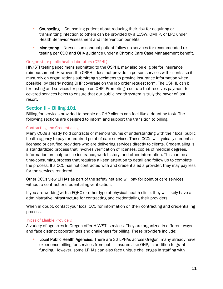- **Counseling** Counseling patient about reducing their risk for acquiring or transmitting infection to others can be provided by a LCSW, QMHP, or LPC under Health Behavior Assessment and Intervention benefits.
- **Monitoring** -- Nurses can conduct patient follow up services for recommended retesting per CDC and OHA guidance under a Chronic Care Case Management benefit.

#### Oregon state public health laboratory (OSPHL)

HIV/STI testing specimens submitted to the OSPHL may also be eligible for insurance reimbursement. However, the OSPHL does not provide in-person services with clients, so it must rely on organizations submitting specimens to provide insurance information when possible, by clearly noting OHP coverage on the lab order request form. The OSPHL can bill for testing and services for people on OHP. Promoting a culture that receives payment for covered services helps to ensure that our public health system is truly the payer of last resort.

# <span id="page-10-0"></span>Section II – Billing 101

Billing for services provided to people on OHP clients can feel like a daunting task. The following sections are designed to inform and support the transition to billing.

#### Contracting and Credentialing

Many CCOs already hold contracts or memorandums of understanding with their local public health agency to pay for required point of care services. These CCOs will typically credential licensed or certified providers who are delivering services directly to clients. Credentialing is a standardized process that involves verification of licenses, copies of medical degrees, information on malpractice insurance, work history, and other information. This can be a time-consuming process that requires a keen attention to detail and follow up to complete the process. If a CCO has not contracted with and credentialed a provider, they may pay less for the services rendered.

Other CCOs view LPHAs as part of the safety net and will pay for point of care services without a contract or credentialing verification.

If you are working with a FQHC or other type of physical health clinic, they will likely have an administrative infrastructure for contracting and credentialing their providers.

When in doubt, contact your local CCO for information on their contracting and credentialing process.

#### Types of Eligible Providers

A variety of agencies in Oregon offer HIV/STI services. They are organized in different ways and face distinct opportunities and challenges for billing. These providers include:

**Local Public Health Agencies.** There are 32 LPHAs across Oregon, many already have experience billing for services from public insurers like OHP, in addition to grant funding. However, some LPHAs can also face unique challenges in staffing with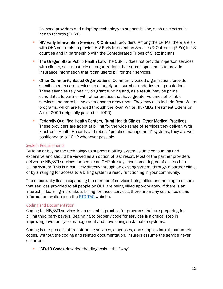licensed providers and adopting technology to support billing, such as electronic health records (EHRs).

- **HIV Early Intervention Services & Outreach** providers. Among the LPHAs, there are six with OHA contracts to provide HIV Early Intervention Services & Outreach (EISO) in 13 counties and in partnership with the Confederated Tribes of Siletz Indians.
- The Oregon State Public Health Lab. The OSPHL does not provide in-person services with clients, so it must rely on organizations that submit specimens to provide insurance information that it can use to bill for their services.
- Other Community-Based Organizations. Community-based organizations provide specific health care services to a largely uninsured or underinsured population. These agencies rely heavily on grant funding and, as a result, may be prime candidates to partner with other entities that have greater volumes of billable services and more billing experience to draw upon. They may also include Ryan White programs, which are funded through the Ryan White HIV/AIDS Treatment Extension Act of 2009 (originally passed in 1990).
- **Federally Qualified Health Centers, Rural Health Clinics, Other Medical Practices.** These providers are adept at billing for the wide range of services they deliver. With Electronic Health Records and robust "practice management" systems, they are well positioned to bill OHP whenever possible.

#### System Requirements

Building or buying the technology to support a billing system is time consuming and expensive and should be viewed as an option of last resort. Most of the partner providers delivering HIV/STI services for people on OHP already have some degree of access to a billing system. This is most likely directly through an existing system, through a partner clinic, or by arranging for access to a billing system already functioning in your community.

The opportunity lies in expanding the number of services being billed and helping to ensure that services provided to all people on OHP are being billed appropriately. If there is an interest in learning more about billing for these services, there are many useful tools and information available on the **STD-TAC** website.

#### Coding and Documentation

Coding for HIV/STI services is an essential practice for programs that are preparing for billing third party payers. Beginning to properly code for services is a critical step in improving revenue cycle management and developing sustainable systems.

Coding is the process of transforming services, diagnoses, and supplies into alphanumeric codes. Without the coding and related documentation, insurers assume the service never occurred.

**ICD-10 Codes** describe the diagnosis – the "why"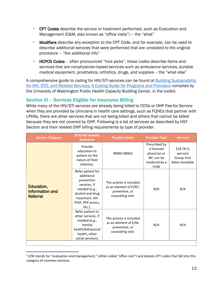- **CPT Codes** describe the service or treatment performed, such as Evaluation and Management (E&M, also known as "office visits") – the "what"
- **Modifiers** describe any exception to the CPT Code, and for example, can be used to describe additional services that were performed that are unrelated to the original procedure – "the additional info"
- **HCPCS Codes** often pronounced "hick picks", these codes describe items and services that are nonphysician-based services such as ambulance services, durable medical equipment, prosthetics, orthotics, drugs, and supplies – the "what else"

A comprehensive guide to coding for HIV/STI services can be found at [Building Sustainability](https://www.cardeaservices.org/resourcecenter/building-sustainability-for-hiv-std-and-related-services-a-coding-guide-for-programs-and-providers)  [for HIV, STD, and Related Services: A Coding Guide for Programs and Providers](https://www.cardeaservices.org/resourcecenter/building-sustainability-for-hiv-std-and-related-services-a-coding-guide-for-programs-and-providers) compiled by the University of Washington Public Health Capacity Building Center, in the toolkit.

# <span id="page-12-0"></span>Section III – Services Eligible for Insurance Billing

While many of the HIV/STI services are already being billed to CCOs or OHP Fee-for-Service when they are provided by clinicians in health care settings, such as FQHCs that partner with LPHAs, there are other services that are not being billed and others that cannot be billed because they are not covered by OHP. Following is a list of services as described by HST Section and their related OHP billing requirements by type of provider.

| <b>Service Category</b>                                 | <b>STD/HIV Activity</b><br><b>Definition</b>                                                                                                        | <b>Payable Codes</b>                                                                          | <b>Provider Type</b>                                                                     | <b>Amount</b>                                           |
|---------------------------------------------------------|-----------------------------------------------------------------------------------------------------------------------------------------------------|-----------------------------------------------------------------------------------------------|------------------------------------------------------------------------------------------|---------------------------------------------------------|
| Education,<br><b>Information and</b><br><b>Referral</b> | Provide<br>education to<br>patient on the<br>nature of their<br>infection.                                                                          | 98960-98962                                                                                   | Prescribed by<br>a licensed<br>physician or<br>NP, can be<br>rendered by a<br><b>CHW</b> | \$18.78(1)<br>person)<br>Group Visit<br>Rates Available |
|                                                         | Refer patient for<br>additional<br>prevention<br>services, if<br>needed (e.g.,<br>alcohol and drug<br>treatment, HIV<br>PrEP, PEP access,<br>etc.). | The activity is included<br>as an element of $E/M^1$ ,<br>preventive, or<br>counseling visit. | N/A                                                                                      | N/A                                                     |
|                                                         | Refer patient to<br>other services, if<br>needed (e.g.,<br>mental<br>health/behavioral<br>health, other<br>social services).                        | The activity is included<br>as an element of E/M,<br>preventive, or<br>counseling visit.      | N/A                                                                                      | N/A                                                     |
|                                                         |                                                                                                                                                     |                                                                                               |                                                                                          |                                                         |

<span id="page-12-1"></span> $1$  E/M stands for "evaluation and management," (often called "office visit") and denote CPT codes that fall into this category of common services.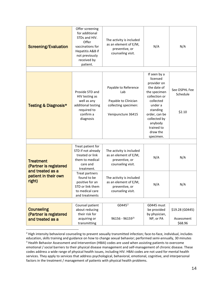| <b>Screening/Evaluation</b>                                     | Offer screening<br>for additional<br>STDs and HIV.<br>Offer<br>vaccinations for<br>Hepatitis A&B if<br>not previously<br>received by<br>patient. | The activity is included<br>as an element of E/M,<br>preventive, or<br>counseling visit.          | N/A                                                                                                                                                                                                            | N/A                                      |
|-----------------------------------------------------------------|--------------------------------------------------------------------------------------------------------------------------------------------------|---------------------------------------------------------------------------------------------------|----------------------------------------------------------------------------------------------------------------------------------------------------------------------------------------------------------------|------------------------------------------|
|                                                                 |                                                                                                                                                  |                                                                                                   |                                                                                                                                                                                                                |                                          |
| Testing & Diagnosis*                                            | Provide STD and<br>HIV testing as<br>well as any<br>additional testing<br>required to<br>confirm a<br>diagnosis                                  | Payable to Reference<br>Lab<br>Payable to Clinician<br>collecting specimen:<br>Venipuncture 36415 | If seen by a<br>licensed<br>provider on<br>the date of<br>the specimen<br>collection or<br>collected<br>under a<br>standing<br>order, can be<br>collected by<br>anybody<br>trained to<br>draw the<br>specimen. | See OSPHL Fee<br>Schedule<br>\$2.10      |
|                                                                 |                                                                                                                                                  |                                                                                                   |                                                                                                                                                                                                                |                                          |
| <b>Treatment</b><br>(Partner is registered<br>and treated as a  | Treat patient for<br>STD if not already<br>treated or link<br>them to medical<br>care and<br>treatment.                                          | The activity is included<br>as an element of E/M,<br>preventive, or<br>counseling visit.          | N/A                                                                                                                                                                                                            | N/A                                      |
| patient in their own<br>right)                                  | Treat partners<br>found to be<br>positive for an<br>STD or link them<br>to medical care<br>and treatments                                        | The activity is included<br>as an element of E/M,<br>preventive, or<br>counseling visit.          | N/A                                                                                                                                                                                                            | N/A                                      |
|                                                                 |                                                                                                                                                  |                                                                                                   |                                                                                                                                                                                                                |                                          |
| <b>Counseling</b><br>(Partner is registered<br>and treated as a | Counsel patient<br>about reducing<br>their risk for<br>acquiring or<br>transmitting                                                              | G0445 <sup>2</sup><br>$96156 - 96159^{3i}$                                                        | G0445 must<br>be provided<br>by physician,<br>NP, or PA                                                                                                                                                        | \$19.28 (G0445)<br>Assessment<br>\$68.96 |

<span id="page-13-1"></span><span id="page-13-0"></span><sup>&</sup>lt;sup>2</sup> High intensity behavioral counseling to prevent sexually transmitted infection; face-to-face, individual, includes education, skills training and guidance on how to change sexual behavior; performed semi-annually, 30 minutes <sup>3</sup> Health Behavior Assessment and Intervention (HBAI) codes are used when assisting patients to overcome emotional / social barriers to their physical disease management and self-management of chronic disease. These codes address a wide range of physical health issues, including HIV. HBAI codes are not used for mental health services. They apply to services that address psychological, behavioral, emotional, cognitive, and interpersonal factors in the treatment / management of patients with physical health problems.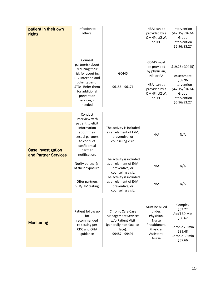| patient in their own<br>right)                    | infection to<br>others.                                                                                                                                                                  |                                                                                                                                   | HBAI can be<br>provided by a<br>QMHP, LCSW,<br>or LPC                                                               | Intervention<br>\$47.15/\$16.64<br>Group<br>Intervention<br>\$6.96/\$3.27                                             |
|---------------------------------------------------|------------------------------------------------------------------------------------------------------------------------------------------------------------------------------------------|-----------------------------------------------------------------------------------------------------------------------------------|---------------------------------------------------------------------------------------------------------------------|-----------------------------------------------------------------------------------------------------------------------|
|                                                   | Counsel<br>partner(s) about<br>reducing their<br>risk for acquiring<br>HIV infection and<br>other types of<br>STDs. Refer them<br>for additional<br>prevention<br>services, if<br>needed | G0445<br>96156 - 96171                                                                                                            | G0445 must<br>be provided<br>by physician,<br>NP, or PA<br>HBAI can be<br>provided by a<br>QMHP, LCSW,<br>or LPC    | \$19.28 (G0445)<br>Assessment<br>\$68.96<br>Intervention<br>\$47.15/\$16.64<br>Group<br>Intervention<br>\$6.96/\$3.27 |
|                                                   |                                                                                                                                                                                          |                                                                                                                                   |                                                                                                                     |                                                                                                                       |
| <b>Case Investigation</b><br>and Partner Services | Conduct<br>interview with<br>patient to elicit<br>information<br>about their<br>sexual partners<br>to conduct<br>confidential<br>partner<br>notification.                                | The activity is included<br>as an element of E/M,<br>preventive, or<br>counseling visit.                                          | N/A                                                                                                                 | N/A                                                                                                                   |
|                                                   | Notify partner(s)<br>of their exposure.                                                                                                                                                  | The activity is included<br>as an element of E/M,<br>preventive, or<br>counseling visit.                                          | N/A                                                                                                                 | N/A                                                                                                                   |
|                                                   | Offer partners<br>STD/HIV testing                                                                                                                                                        | The activity is included<br>as an element of E/M,<br>preventive, or<br>counseling visit.                                          | N/A                                                                                                                 | N/A                                                                                                                   |
|                                                   |                                                                                                                                                                                          |                                                                                                                                   |                                                                                                                     |                                                                                                                       |
| <b>Monitoring</b>                                 | Patient follow up<br>for<br>recommended<br>re-testing per<br>CDC and OHA<br>guidance                                                                                                     | <b>Chronic Care Case</b><br><b>Management Services</b><br>w/o Patient Visit<br>(generally non-face-to-<br>face):<br>99487 - 99491 | Must be billed<br>under:<br>Physician,<br><b>Nurse</b><br>Practitioners,<br>Physician<br>Assistant,<br><b>Nurse</b> | Complex<br>\$63.22<br>Add'l 30 Min<br>\$30.62<br>Chronic 20 min<br>\$31.48<br>Chronic 30 min<br>\$57.66               |
|                                                   |                                                                                                                                                                                          |                                                                                                                                   |                                                                                                                     |                                                                                                                       |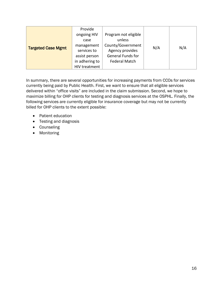| <b>Targeted Case Mgmt</b> | Provide<br>ongoing HIV<br>case<br>management<br>services to<br>assist person<br>in adhering to | Program not eligible<br>unless<br>County/Government<br>Agency provides<br><b>General Funds for</b><br><b>Federal Match</b> | N/A | N/A |
|---------------------------|------------------------------------------------------------------------------------------------|----------------------------------------------------------------------------------------------------------------------------|-----|-----|
|                           | HIV treatment                                                                                  |                                                                                                                            |     |     |

In summary, there are several opportunities for increasing payments from CCOs for services currently being paid by Public Health. First, we want to ensure that all eligible services delivered within "office visits" are included in the claim submission. Second, we hope to maximize billing for OHP clients for testing and diagnosis services at the OSPHL. Finally, the following services are currently eligible for insurance coverage but may not be currently billed for OHP clients to the extent possible:

- Patient education
- Testing and diagnosis
- Counseling
- Monitoring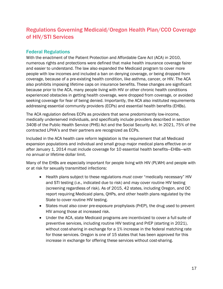# <span id="page-16-0"></span>Regulations Governing Medicaid/Oregon Health Plan/CCO Coverage of HIV/STI Services

# Federal Regulations

With the enactment of the Patient Protection and Affordable Care Act (ACA) in 2010, numerous rights and protections were defined that make health insurance coverage fairer and easier to understand. The law also expanded the Medicaid program to cover more people with low incomes and included a ban on denying coverage, or being dropped from coverage, because of a pre-existing health condition, like asthma, cancer, or HIV. The ACA also prohibits imposing lifetime caps on insurance benefits. These changes are significant because prior to the ACA, many people living with HIV or other chronic health conditions experienced obstacles in getting health coverage, were dropped from coverage, or avoided seeking coverage for fear of being denied. Importantly, the ACA also instituted requirements addressing essential community providers (ECPs) and essential health benefits (EHBs).

The ACA regulation defines ECPs as providers that serve predominantly low-income, medically underserved individuals, and specifically include providers described in section 340B of the Public Health Service (PHS) Act and the Social Security Act. In 2021, 75% of the contracted LPHA's and their partners are recognized as ECPs.

Included in the ACA health care reform legislation is the requirement that all Medicaid expansion populations and individual and small group major medical plans effective on or after January 1, 2014 must include coverage for 10 essential health benefits—EHBs—with no annual or lifetime dollar limit.

Many of the EHBs are especially important for people living with HIV (PLWH) and people with or at risk for sexually transmitted infections:

- Health plans subject to these regulations *must* cover "medically necessary" HIV and STI testing (i.e., indicated due to risk) and *may* cover routine HIV testing (screening regardless of risk). As of 2015, 42 states, including Oregon, and DC report requiring Medicaid plans, QHPs, and other health plans regulated by the State to cover routine HIV testing.
- States must also cover pre-exposure prophylaxis (PrEP), the drug used to prevent HIV among those at increased risk.
- Under the ACA, state Medicaid programs are incentivized to cover a full suite of preventive services, including routine HIV testing and PrEP (starting in 2021), without cost-sharing in exchange for a 1% increase in the federal matching rate for those services. Oregon is one of 15 states that has been approved for this increase in exchange for offering these services without cost-sharing.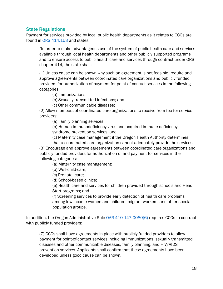# State Regulations

Payment for services provided by local public health departments as it relates to CCOs are found in [ORS 414.153](https://www.oregonlaws.org/ors/414.153) and states:

"In order to make advantageous use of the system of public health care and services available through local health departments and other publicly supported programs and to ensure access to public health care and services through contract under ORS chapter 414, the state shall:

(1) Unless cause can be shown why such an agreement is not feasible, require and approve agreements between coordinated care organizations and publicly funded providers for authorization of payment for point of contact services in the following categories:

(a) Immunizations;

(b) Sexually transmitted infections; and

(c) Other communicable diseases;

(2) Allow members of coordinated care organizations to receive from fee-for-service providers:

(a) Family planning services;

(b) Human immunodeficiency virus and acquired immune deficiency

syndrome prevention services; and

(c) Maternity case management if the Oregon Health Authority determines

that a coordinated care organization cannot adequately provide the services; (3) Encourage and approve agreements between coordinated care organizations and publicly funded providers for authorization of and payment for services in the

following categories:

(a) Maternity case management;

(b) Well-child-care;

(c) Prenatal care;

(d) School-based clinics;

(e) Health care and services for children provided through schools and Head Start programs; and

(f) Screening services to provide early detection of health care problems among low income women and children, migrant workers, and other special population groups.

In addition, the Oregon Administrative Rule [OAR 410-147-0080\(6\)](https://secure.sos.state.or.us/oard/viewSingleRule.action?ruleVrsnRsn=87515) requires CCOs to contract with publicly funded providers:

(7) CCOs shall have agreements in place with publicly funded providers to allow payment for point-of-contact services including immunizations, sexually transmitted diseases and other communicable diseases, family planning, and HIV/AIDS prevention services. Applicants shall confirm that these agreements have been developed unless good cause can be shown.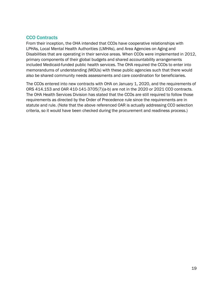# CCO Contracts

From their inception, the OHA intended that CCOs have cooperative relationships with LPHAs, Local Mental Health Authorities (LMHAs), and Area Agencies on Aging and Disabilities that are operating in their service areas. When CCOs were implemented in 2012, primary components of their global budgets and shared accountability arrangements included Medicaid-funded public health services. The OHA required the CCOs to enter into memorandums of understanding (MOUs) with these public agencies such that there would also be shared community needs assessments and care coordination for beneficiaries.

The CCOs entered into new contracts with OHA on January 1, 2020, and the requirements of ORS 414.153 and OAR 410-141-3705(7)(a-b) are not in the 2020 or 2021 CCO contracts. The OHA Health Services Division has stated that the CCOs are still required to follow those requirements as directed by the Order of Precedence rule since the requirements are in statute and rule. (Note that the above referenced OAR is actually addressing CCO selection criteria, so it would have been checked during the procurement and readiness process.)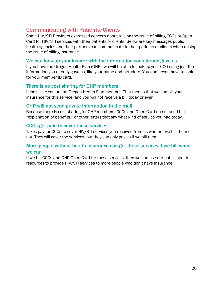# Communicating with Patients/Clients

Some HIV/STI Providers expressed concern about raising the issue of billing CCOs or Open Card for HIV/STI services with their patients or clients. Below are key messages public health agencies and their partners can communicate to their patients or clients when raising the issue of billing insurance.

## We can look up your insurer with the information you already gave us

If you have the Oregon Health Plan (OHP), we will be able to look up your CCO using just the information you already gave us, like your name and birthdate. You don't even have to look for your member ID card.

## There is no cost sharing for OHP members

It looks like you are an Oregon Health Plan member. That means that we can bill your insurance for this service, and you will not receive a bill today or ever.

# OHP will not send private information in the mail

Because there is cost sharing for OHP members, CCOs and Open Card do not send bills, "explanation of benefits," or other letters that say what kind of service you had today.

## CCOs get paid to cover these services

Taxes pay for CCOs to cover HIV/STI services you received from us whether we bill them or not. They will cover the services, but they can only pay us if we bill them.

# More people without health insurance can get these services if we bill when we can

If we bill CCOs and OHP Open Card for these services, then we can use our public health resources to provide HIV/STI services to more people who don't have insurance.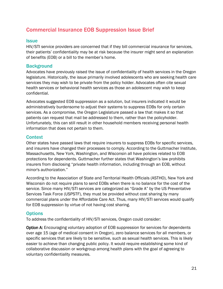# <span id="page-20-0"></span>Commercial Insurance EOB Suppression Issue Brief

# **Issue**

HIV/STI service providers are concerned that if they bill commercial insurance for services, their patients' confidentiality may be at risk because the insurer might send an explanation of benefits (EOB) or a bill to the member's home.

# **Background**

Advocates have previously raised the issue of confidentiality of health services in the Oregon legislature. Historically, the issue primarily involved adolescents who are seeking health care services they may wish to be private from the policy holder. Advocates often cite sexual health services or behavioral health services as those an adolescent may wish to keep confidential.

Advocates suggested EOB suppression as a solution, but insurers indicated it would be administratively burdensome to adjust their systems to suppress EOBs for only certain services. As a compromise, the Oregon Legislature passed a law that makes it so that patients can request that mail be addressed to them, rather than the policyholder. Unfortunately, this can still result in other household members receiving personal health information that does not pertain to them.

# **Context**

Other states have passed laws that require insurers to suppress EOBs for specific services, and insurers have changed their processes to comply. According to the Guttmacher Institute, Massachusetts, New York, Washington, and Wisconsin all have policies related to EOB protections for dependents. Guttmacher further states that Washington's law prohibits insurers from disclosing "private health information, including through an EOB, without minor's authorization."

According to the Association of State and Territorial Health Officials (ASTHO), New York and Wisconsin do not require plans to send EOBs when there is no balance for the cost of the service. Since many HIV/STI services are categorized as "Grade A" by the US Preventative Services Task Force (USPSTF), they must be provided without cost sharing by many commercial plans under the Affordable Care Act. Thus, many HIV/STI services would qualify for EOB suppression by virtue of not having cost sharing.

# **Options**

To address the confidentiality of HIV/STI services, Oregon could consider:

**Option A:** Encouraging voluntary adoption of EOB suppression for services for dependents over age 15 (age of medical consent in Oregon), zero balance services for all members, or specific services that are likely to be sensitive, such as sexual health services. This is likely easier to achieve than changing public policy. It would require establishing some kind of collaborative discussion or workgroup among health plans with the goal of agreeing to voluntary confidentiality measures.